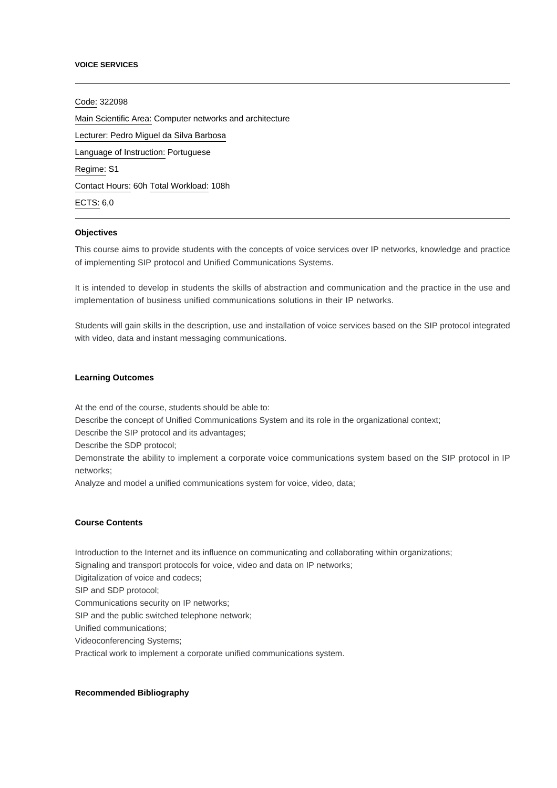#### **VOICE SERVICES**

Code: 322098 Main Scientific Area: Computer networks and architecture Lecturer: [Pedro Miguel da Silva Barbosa](mailto:pbarbosa@ipca.pt) Language of Instruction: Portuguese Regime: S1 Contact Hours: 60h Total Workload: 108h ECTS: 6,0

## **Objectives**

This course aims to provide students with the concepts of voice services over IP networks, knowledge and practice of implementing SIP protocol and Unified Communications Systems.

It is intended to develop in students the skills of abstraction and communication and the practice in the use and implementation of business unified communications solutions in their IP networks.

Students will gain skills in the description, use and installation of voice services based on the SIP protocol integrated with video, data and instant messaging communications.

## **Learning Outcomes**

At the end of the course, students should be able to:

Describe the concept of Unified Communications System and its role in the organizational context;

Describe the SIP protocol and its advantages;

Describe the SDP protocol;

Demonstrate the ability to implement a corporate voice communications system based on the SIP protocol in IP networks;

Analyze and model a unified communications system for voice, video, data;

### **Course Contents**

Introduction to the Internet and its influence on communicating and collaborating within organizations;

Signaling and transport protocols for voice, video and data on IP networks;

Digitalization of voice and codecs;

SIP and SDP protocol;

Communications security on IP networks;

SIP and the public switched telephone network;

Unified communications;

Videoconferencing Systems;

Practical work to implement a corporate unified communications system.

### **Recommended Bibliography**